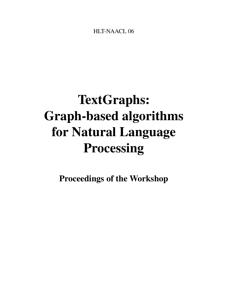<span id="page-0-0"></span>HLT-NAACL 06

# TextGraphs: Graph-based algorithms for Natural Language Processing

Proceedings of the Workshop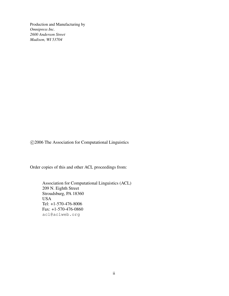Production and Manufacturing by *Omnipress Inc. 2600 Anderson Street Madison, WI 53704*

c 2006 The Association for Computational Linguistics

Order copies of this and other ACL proceedings from:

Association for Computational Linguistics (ACL) 209 N. Eighth Street Stroudsburg, PA 18360 USA Tel: +1-570-476-8006 Fax: +1-570-476-0860 acl@aclweb.org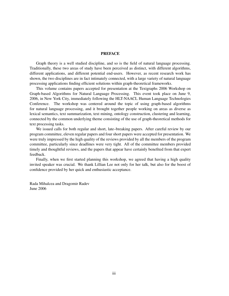## PREFACE

Graph theory is a well studied discipline, and so is the field of natural language processing. Traditionally, these two areas of study have been perceived as distinct, with different algorithms, different applications, and different potential end-users. However, as recent research work has shown, the two disciplines are in fact intimately connected, with a large variety of natural language processing applications finding efficient solutions within graph-theoretical frameworks.

This volume contains papers accepted for presentation at the Textgraphs 2006 Workshop on Graph-based Algorithms for Natural Language Processing. This event took place on June 9, 2006, in New York City, immediately following the HLT-NAACL Human Language Technologies Conference. The workshop was centered around the topic of using graph-based algorithms for natural language processing, and it brought together people working on areas as diverse as lexical semantics, text summarization, text mining, ontology construction, clustering and learning, connected by the common underlying theme consisting of the use of graph-theoretical methods for text processing tasks.

We issued calls for both regular and short, late–breaking papers. After careful review by our program committee, eleven regular papers and four short papers were accepted for presentation. We were truly impressed by the high quality of the reviews provided by all the members of the program committee, particularly since deadlines were very tight. All of the committee members provided timely and thoughtful reviews, and the papers that appear have certainly benefited from that expert feedback.

Finally, when we first started planning this workshop, we agreed that having a high quality invited speaker was crucial. We thank Lillian Lee not only for her talk, but also for the boost of confidence provided by her quick and enthusiastic acceptance.

Rada Mihalcea and Dragomir Radev June 2006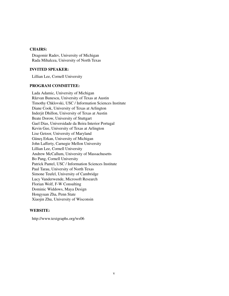## CHAIRS:

Dragomir Radev, University of Michigan Rada Mihalcea, University of North Texas

## INVITED SPEAKER:

Lillian Lee, Cornell University

## PROGRAM COMMITTEE:

Lada Adamic, University of Michigan Răzvan Bunescu, University of Texas at Austin Timothy Chklovski, USC / Information Sciences Institute Diane Cook, University of Texas at Arlington Inderjit Dhillon, University of Texas at Austin Beate Dorow, University of Stuttgart Gael Dias, Universidade da Beira Interior Portugal Kevin Gee, University of Texas at Arlington Lise Getoor, University of Maryland Güneş Erkan, University of Michigan John Lafferty, Carnegie Mellon University Lillian Lee, Cornell University Andrew McCallum, University of Massachusetts Bo Pang, Cornell University Patrick Pantel, USC / Information Sciences Institute Paul Tarau, University of North Texas Simone Teufel, University of Cambridge Lucy Vanderwende, Microsoft Research Florian Wolf, F-W Consulting Dominic Widdows, Maya Design Hongyuan Zha, Penn State Xiaojin Zhu, University of Wisconsin

## WEBSITE:

http://www.textgraphs.org/ws06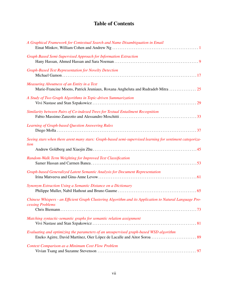## Table of Contents

| A Graphical Framework for Contextual Search and Name Disambiguation in Email                                                  |
|-------------------------------------------------------------------------------------------------------------------------------|
| Graph Based Semi-Supervised Approach for Information Extraction                                                               |
| <b>Graph-Based Text Representation for Novelty Detection</b>                                                                  |
| Measuring Aboutness of an Entity in a Text<br>Marie-Francine Moens, Patrick Jeuniaux, Roxana Angheluta and Rudradeb Mitra  25 |
| A Study of Two Graph Algorithms in Topic-driven Summarization                                                                 |
| Similarity between Pairs of Co-indexed Trees for Textual Entailment Recognition                                               |
| <b>Learning of Graph-based Question Answering Rules</b>                                                                       |
| Seeing stars when there arent many stars: Graph-based semi-supervised learning for sentiment categoriza-<br>tion              |
| Random-Walk Term Weighting for Improved Text Classification                                                                   |
| Graph-based Generalized Latent Semantic Analysis for Document Representation                                                  |
| Synonym Extraction Using a Semantic Distance on a Dictionary                                                                  |
| Chinese Whispers - an Efficient Graph Clustering Algorithm and its Application to Natural Language Pro-<br>cessing Problems   |
| Matching syntactic-semantic graphs for semantic relation assignment                                                           |
| Evaluating and optimizing the parameters of an unsupervised graph-based WSD algorithm                                         |
| <b>Context Comparison as a Minimum Cost Flow Problem</b>                                                                      |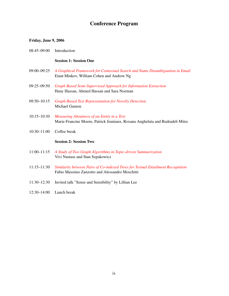## Conference Program

## Friday, June 9, 2006

| $08:45-09:00$ | Introduction |  |
|---------------|--------------|--|
|               |              |  |

## Session 1: Session One

- 09:00–09:25 *[A Graphical Framework for Contextual Search and Name Disambiguation in Email](#page-0-0)* Einat Minkov, William Cohen and Andrew Ng
- 09:25–09:50 *[Graph Based Semi-Supervised Approach for Information Extraction](#page-0-0)* Hany Hassan, Ahmed Hassan and Sara Noeman
- 09:50–10:15 *[Graph-Based Text Representation for Novelty Detection](#page-0-0)* Michael Gamon
- 10:15–10:30 *[Measuring Aboutness of an Entity in a Text](#page-0-0)* Marie-Francine Moens, Patrick Jeuniaux, Roxana Angheluta and Rudradeb Mitra
- 10:30–11:00 Coffee break

## Session 2: Session Two

- 11:00–11:15 *[A Study of Two Graph Algorithms in Topic-driven Summarization](#page-0-0)* Vivi Nastase and Stan Szpakowicz
- 11:15–11:30 *[Similarity between Pairs of Co-indexed Trees for Textual Entailment Recognition](#page-0-0)* Fabio Massimo Zanzotto and Alessandro Moschitti
- 11:30–12:30 Invited talk "Sense and Sensibility" by Lillian Lee
- 12:30–14:00 Lunch break